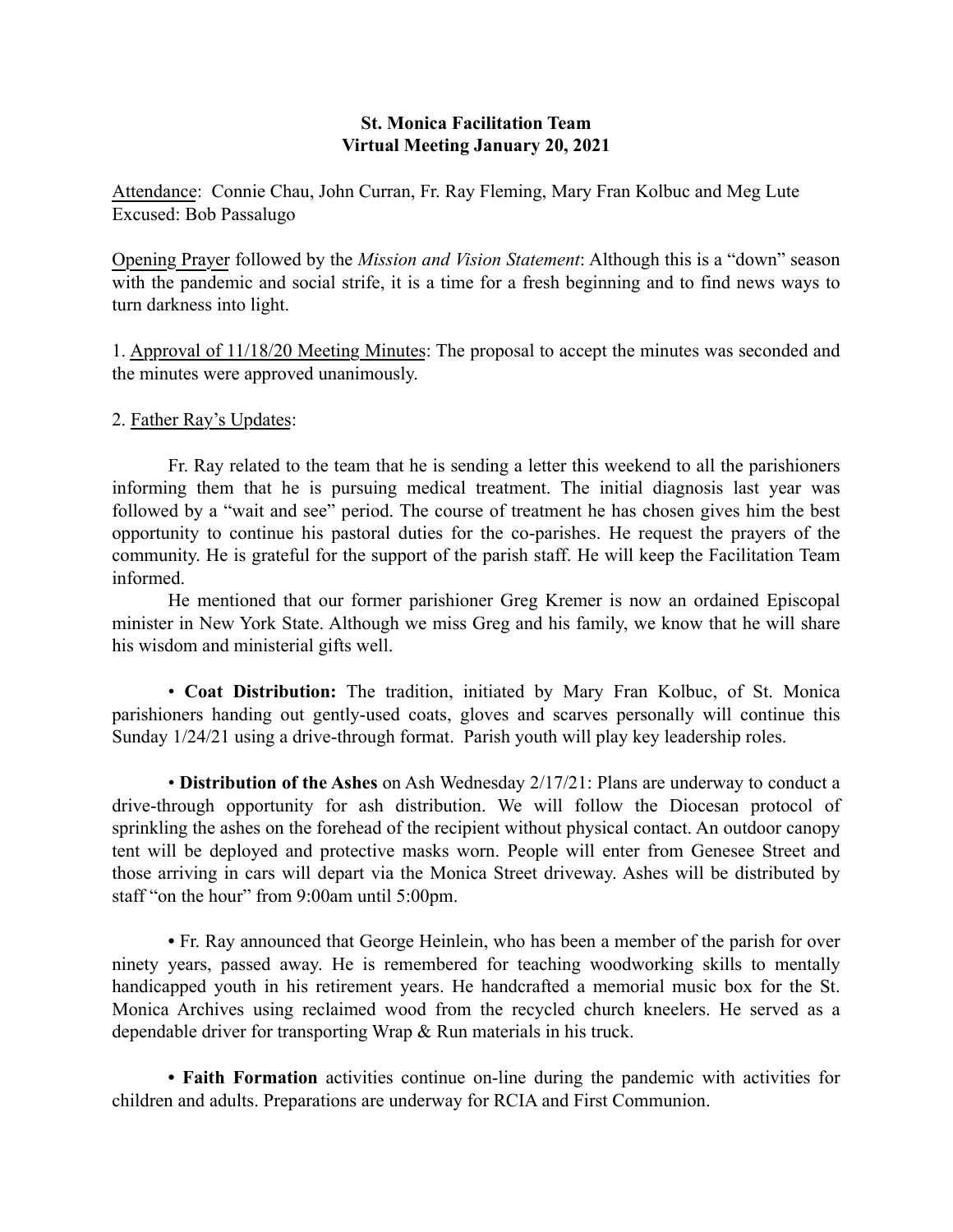## St. Monica Facilitation Team Virtual Meeting January 20, 2021

Attendance: Connie Chau, John Curran, Fr. Ray Fleming, Mary Fran Kolbuc and Meg Lute Excused: Bob Passalugo

Opening Prayer followed by the *Mission and Vision Statement*: Although this is a "down" season with the pandemic and social strife, it is a time for a fresh beginning and to find news ways to turn darkness into light.

1. Approval of 11/18/20 Meeting Minutes: The proposal to accept the minutes was seconded and the minutes were approved unanimously.

# 2. Father Ray's Updates:

Fr. Ray related to the team that he is sending a letter this weekend to all the parishioners informing them that he is pursuing medical treatment. The initial diagnosis last year was followed by a "wait and see" period. The course of treatment he has chosen gives him the best opportunity to continue his pastoral duties for the co-parishes. He request the prayers of the community. He is grateful for the support of the parish staff. He will keep the Facilitation Team informed.

He mentioned that our former parishioner Greg Kremer is now an ordained Episcopal minister in New York State. Although we miss Greg and his family, we know that he will share his wisdom and ministerial gifts well.

• Coat Distribution: The tradition, initiated by Mary Fran Kolbuc, of St. Monica parishioners handing out gently-used coats, gloves and scarves personally will continue this Sunday 1/24/21 using a drive-through format. Parish youth will play key leadership roles.

• Distribution of the Ashes on Ash Wednesday 2/17/21: Plans are underway to conduct a drive-through opportunity for ash distribution. We will follow the Diocesan protocol of sprinkling the ashes on the forehead of the recipient without physical contact. An outdoor canopy tent will be deployed and protective masks worn. People will enter from Genesee Street and those arriving in cars will depart via the Monica Street driveway. Ashes will be distributed by staff "on the hour" from 9:00am until 5:00pm.

• Fr. Ray announced that George Heinlein, who has been a member of the parish for over ninety years, passed away. He is remembered for teaching woodworking skills to mentally handicapped youth in his retirement years. He handcrafted a memorial music box for the St. Monica Archives using reclaimed wood from the recycled church kneelers. He served as a dependable driver for transporting Wrap & Run materials in his truck.

• Faith Formation activities continue on-line during the pandemic with activities for children and adults. Preparations are underway for RCIA and First Communion.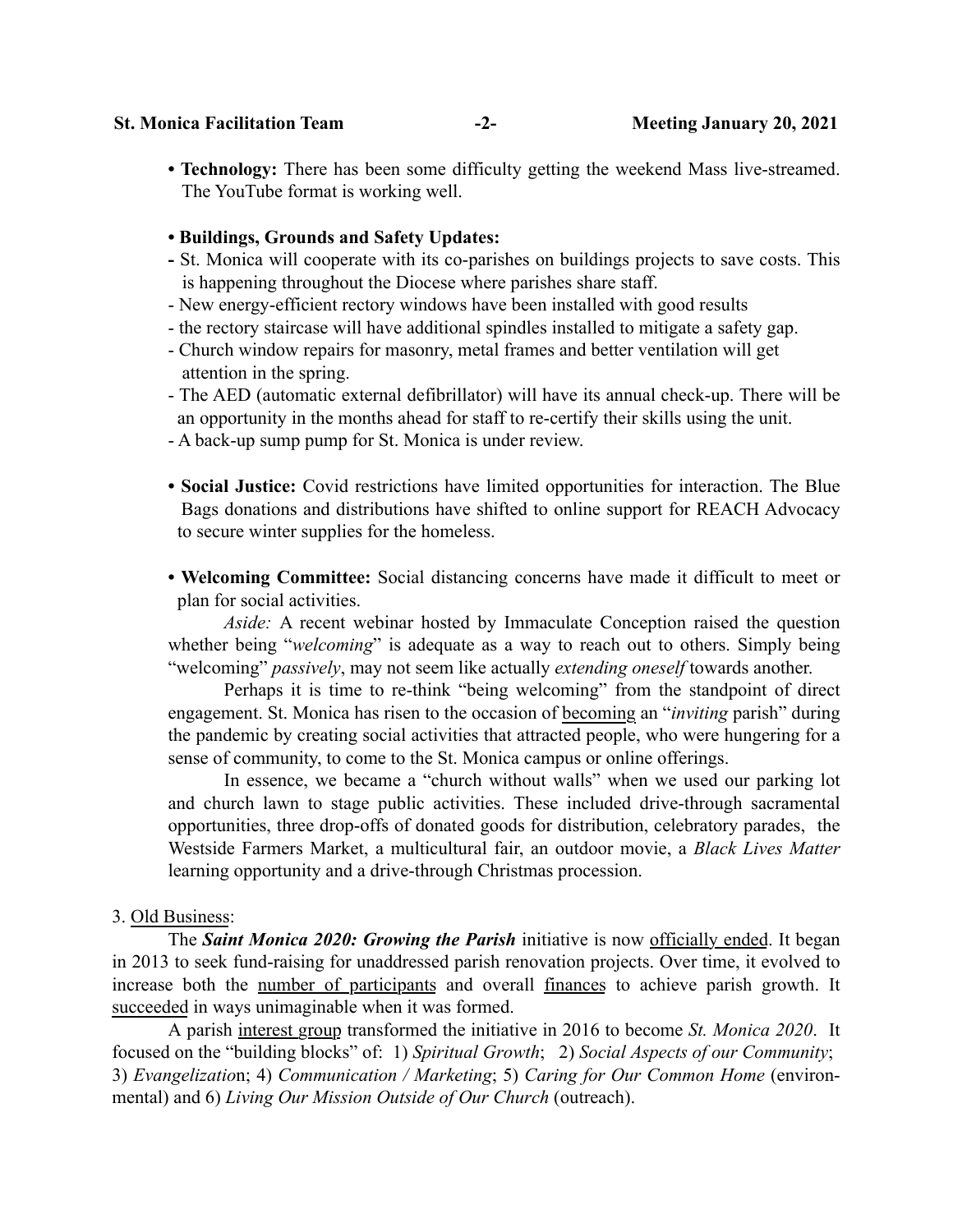#### St. Monica Facilitation Team -2- Section 20, 2021

• Technology: There has been some difficulty getting the weekend Mass live-streamed. The YouTube format is working well.

## • Buildings, Grounds and Safety Updates:

- St. Monica will cooperate with its co-parishes on buildings projects to save costs. This is happening throughout the Diocese where parishes share staff.
- New energy-efficient rectory windows have been installed with good results
- the rectory staircase will have additional spindles installed to mitigate a safety gap.
- Church window repairs for masonry, metal frames and better ventilation will get attention in the spring.
- The AED (automatic external defibrillator) will have its annual check-up. There will be an opportunity in the months ahead for staff to re-certify their skills using the unit.
- A back-up sump pump for St. Monica is under review.
- Social Justice: Covid restrictions have limited opportunities for interaction. The Blue Bags donations and distributions have shifted to online support for REACH Advocacy to secure winter supplies for the homeless.
- Welcoming Committee: Social distancing concerns have made it difficult to meet or plan for social activities.

*Aside:* A recent webinar hosted by Immaculate Conception raised the question whether being "*welcoming*" is adequate as a way to reach out to others. Simply being "welcoming" *passively*, may not seem like actually *extending oneself* towards another.

Perhaps it is time to re-think "being welcoming" from the standpoint of direct engagement. St. Monica has risen to the occasion of becoming an "*inviting* parish" during the pandemic by creating social activities that attracted people, who were hungering for a sense of community, to come to the St. Monica campus or online offerings.

In essence, we became a "church without walls" when we used our parking lot and church lawn to stage public activities. These included drive-through sacramental opportunities, three drop-offs of donated goods for distribution, celebratory parades, the Westside Farmers Market, a multicultural fair, an outdoor movie, a *Black Lives Matter*  learning opportunity and a drive-through Christmas procession.

## 3. Old Business:

The *Saint Monica 2020: Growing the Parish* initiative is now officially ended. It began in 2013 to seek fund-raising for unaddressed parish renovation projects. Over time, it evolved to increase both the number of participants and overall finances to achieve parish growth. It succeeded in ways unimaginable when it was formed.

A parish interest group transformed the initiative in 2016 to become *St. Monica 2020*. It focused on the "building blocks" of: 1) *Spiritual Growth*; 2) *Social Aspects of our Community*; 3) *Evangelizatio*n; 4) *Communication / Marketing*; 5) *Caring for Our Common Home* (environmental) and 6) *Living Our Mission Outside of Our Church* (outreach).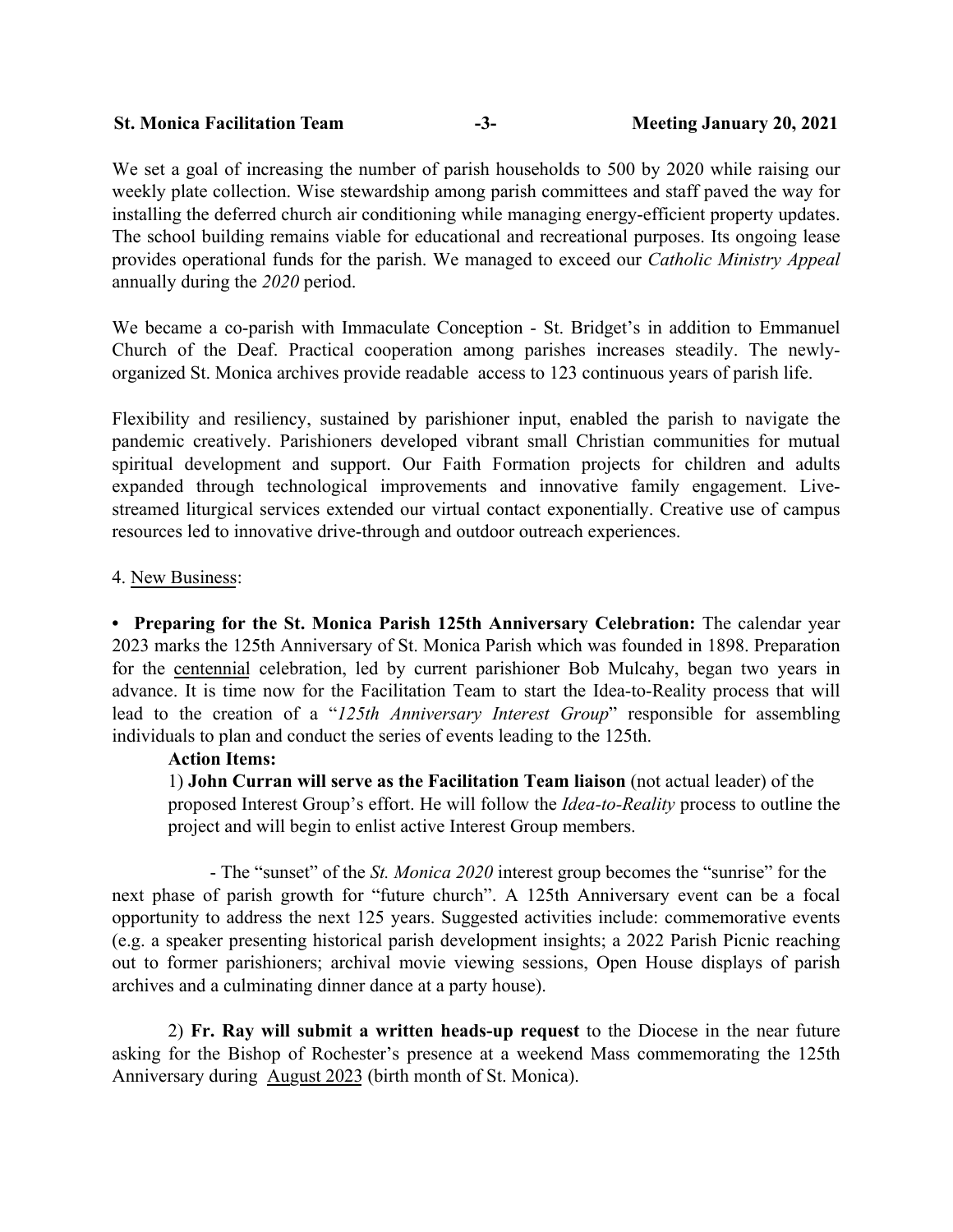| <b>St. Monica Facilitation Team</b> |  | <b>Meeting January 20, 2021</b> |
|-------------------------------------|--|---------------------------------|
|-------------------------------------|--|---------------------------------|

We set a goal of increasing the number of parish households to 500 by 2020 while raising our weekly plate collection. Wise stewardship among parish committees and staff paved the way for installing the deferred church air conditioning while managing energy-efficient property updates. The school building remains viable for educational and recreational purposes. Its ongoing lease provides operational funds for the parish. We managed to exceed our *Catholic Ministry Appeal* annually during the *2020* period.

We became a co-parish with Immaculate Conception - St. Bridget's in addition to Emmanuel Church of the Deaf. Practical cooperation among parishes increases steadily. The newlyorganized St. Monica archives provide readable access to 123 continuous years of parish life.

Flexibility and resiliency, sustained by parishioner input, enabled the parish to navigate the pandemic creatively. Parishioners developed vibrant small Christian communities for mutual spiritual development and support. Our Faith Formation projects for children and adults expanded through technological improvements and innovative family engagement. Livestreamed liturgical services extended our virtual contact exponentially. Creative use of campus resources led to innovative drive-through and outdoor outreach experiences.

# 4. New Business:

• Preparing for the St. Monica Parish 125th Anniversary Celebration: The calendar year 2023 marks the 125th Anniversary of St. Monica Parish which was founded in 1898. Preparation for the centennial celebration, led by current parishioner Bob Mulcahy, began two years in advance. It is time now for the Facilitation Team to start the Idea-to-Reality process that will lead to the creation of a "*125th Anniversary Interest Group*" responsible for assembling individuals to plan and conduct the series of events leading to the 125th.

## Action Items:

1) John Curran will serve as the Facilitation Team liaison (not actual leader) of the proposed Interest Group's effort. He will follow the *Idea-to-Reality* process to outline the project and will begin to enlist active Interest Group members.

 - The "sunset" of the *St. Monica 2020* interest group becomes the "sunrise" for the next phase of parish growth for "future church". A 125th Anniversary event can be a focal opportunity to address the next 125 years. Suggested activities include: commemorative events (e.g. a speaker presenting historical parish development insights; a 2022 Parish Picnic reaching out to former parishioners; archival movie viewing sessions, Open House displays of parish archives and a culminating dinner dance at a party house).

2) Fr. Ray will submit a written heads-up request to the Diocese in the near future asking for the Bishop of Rochester's presence at a weekend Mass commemorating the 125th Anniversary during August 2023 (birth month of St. Monica).